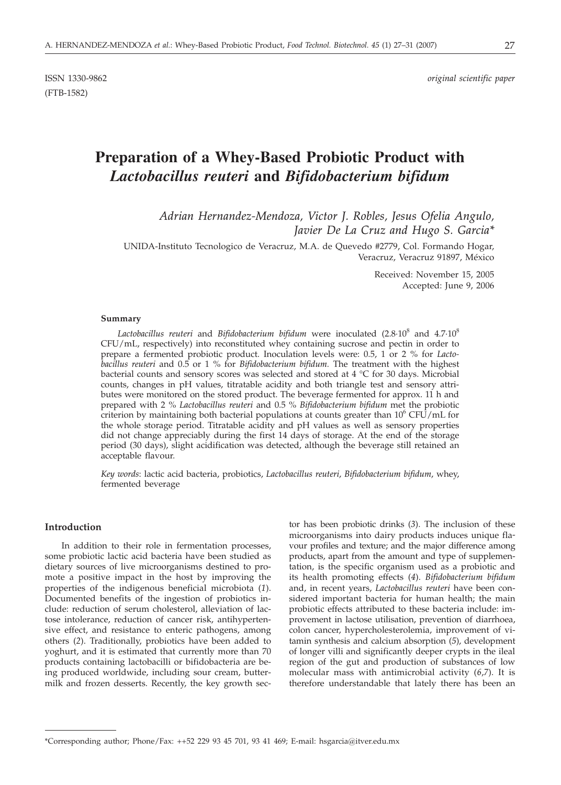# **Preparation of a Whey-Based Probiotic Product with** *Lactobacillus reuteri* **and** *Bifidobacterium bifidum*

*Adrian Hernandez-Mendoza, Victor J. Robles, Jesus Ofelia Angulo, Javier De La Cruz and Hugo S. Garcia\**

UNIDA-Instituto Tecnologico de Veracruz, M.A. de Quevedo #2779, Col. Formando Hogar, Veracruz, Veracruz 91897, México

> Received: November 15, 2005 Accepted: June 9, 2006

#### **Summary**

Lactobacillus reuteri and *Bifidobacterium bifidum* were inoculated (2.8.10<sup>8</sup> and 4.7.10<sup>8</sup> CFU/mL, respectively) into reconstituted whey containing sucrose and pectin in order to prepare a fermented probiotic product. Inoculation levels were: 0.5, 1 or 2 % for *Lactobacillus reuteri* and 0.5 or 1 % for *Bifidobacterium bifidum.* The treatment with the highest bacterial counts and sensory scores was selected and stored at 4 °C for 30 days. Microbial counts, changes in pH values, titratable acidity and both triangle test and sensory attributes were monitored on the stored product. The beverage fermented for approx. 11 h and prepared with 2 % *Lactobacillus reuteri* and 0.5 % *Bifidobacterium bifidum* met the probiotic criterion by maintaining both bacterial populations at counts greater than  $10^6$  CFU/mL for the whole storage period. Titratable acidity and pH values as well as sensory properties did not change appreciably during the first 14 days of storage. At the end of the storage period (30 days), slight acidification was detected, although the beverage still retained an acceptable flavour.

*Key words*: lactic acid bacteria, probiotics, *Lactobacillus reuteri*, *Bifidobacterium bifidum*, whey, fermented beverage

# **Introduction**

In addition to their role in fermentation processes, some probiotic lactic acid bacteria have been studied as dietary sources of live microorganisms destined to promote a positive impact in the host by improving the properties of the indigenous beneficial microbiota (*1*). Documented benefits of the ingestion of probiotics include: reduction of serum cholesterol, alleviation of lactose intolerance, reduction of cancer risk, antihypertensive effect, and resistance to enteric pathogens, among others (*2*). Traditionally, probiotics have been added to yoghurt, and it is estimated that currently more than 70 products containing lactobacilli or bifidobacteria are being produced worldwide, including sour cream, buttermilk and frozen desserts. Recently, the key growth sector has been probiotic drinks (*3*). The inclusion of these microorganisms into dairy products induces unique flavour profiles and texture; and the major difference among products, apart from the amount and type of supplementation, is the specific organism used as a probiotic and its health promoting effects (*4*). *Bifidobacterium bifidum* and, in recent years, *Lactobacillus reuteri* have been considered important bacteria for human health; the main probiotic effects attributed to these bacteria include: improvement in lactose utilisation, prevention of diarrhoea, colon cancer, hypercholesterolemia, improvement of vitamin synthesis and calcium absorption (*5*), development of longer villi and significantly deeper crypts in the ileal region of the gut and production of substances of low molecular mass with antimicrobial activity (*6*,*7*). It is therefore understandable that lately there has been an

<sup>\*</sup>Corresponding author; Phone/Fax: ++52 229 93 45 701, 93 41 469; E-mail: hsgarcia@itver.edu.mx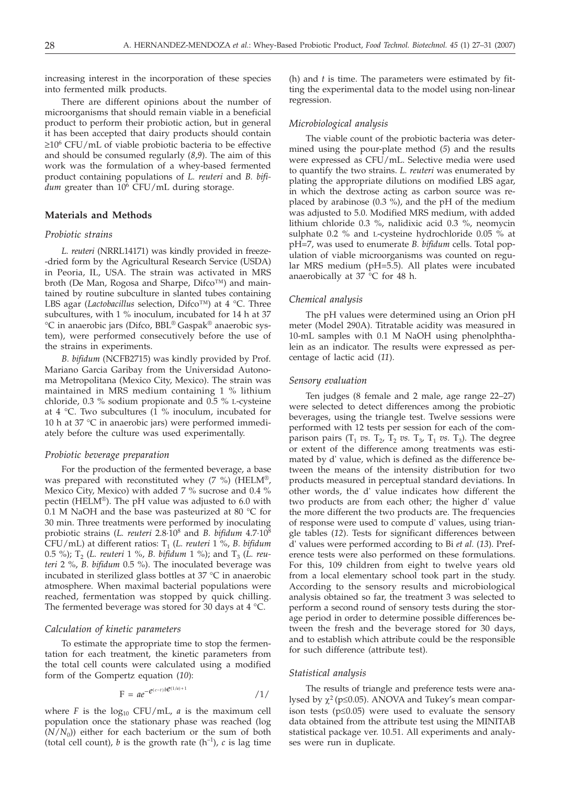increasing interest in the incorporation of these species into fermented milk products.

There are different opinions about the number of microorganisms that should remain viable in a beneficial product to perform their probiotic action, but in general it has been accepted that dairy products should contain ≥106 CFU/mL of viable probiotic bacteria to be effective and should be consumed regularly (*8*,*9*). The aim of this work was the formulation of a whey-based fermented product containing populations of *L. reuteri* and *B. bifi* $dum$  greater than  $10^6$  CFU/mL during storage.

# **Materials and Methods**

#### *Probiotic strains*

*L. reuteri* (NRRL14171) was kindly provided in freeze- -dried form by the Agricultural Research Service (USDA) in Peoria, IL, USA. The strain was activated in MRS broth (De Man, Rogosa and Sharpe, Difco™) and maintained by routine subculture in slanted tubes containing LBS agar (*Lactobacillus* selection, Difco™) at 4 °C. Three subcultures, with 1 % inoculum, incubated for 14 h at 37 °C in anaerobic jars (Difco, BBL® Gaspak® anaerobic system), were performed consecutively before the use of the strains in experiments.

*B. bifidum* (NCFB2715) was kindly provided by Prof. Mariano Garcia Garibay from the Universidad Autonoma Metropolitana (Mexico City, Mexico). The strain was maintained in MRS medium containing 1 % lithium chloride, 0.3 % sodium propionate and 0.5 % L-cysteine at 4 °C. Two subcultures (1 % inoculum, incubated for 10 h at 37 °C in anaerobic jars) were performed immediately before the culture was used experimentally.

## *Probiotic beverage preparation*

For the production of the fermented beverage, a base was prepared with reconstituted whey (7 %) (HELM®, Mexico City, Mexico) with added 7 % sucrose and 0.4 % pectin (HELM®). The pH value was adjusted to 6.0 with 0.1 M NaOH and the base was pasteurized at 80  $^{\circ}$ C for 30 min. Three treatments were performed by inoculating probiotic strains (*L. reuteri* 2.8·108 and *B. bifidum* 4.7·108 CFU/mL) at different ratios: T1 (*L. reuteri* 1 %, *B. bifidum* 0.5 %); T<sub>2</sub> (*L. reuteri* 1 %, *B. bifidum* 1 %); and T<sub>3</sub> (*L. reuteri* 2 %, *B. bifidum* 0.5 %). The inoculated beverage was incubated in sterilized glass bottles at 37 °C in anaerobic atmosphere. When maximal bacterial populations were reached, fermentation was stopped by quick chilling. The fermented beverage was stored for 30 days at 4 °C.

## *Calculation of kinetic parameters*

To estimate the appropriate time to stop the fermentation for each treatment, the kinetic parameters from the total cell counts were calculated using a modified form of the Gompertz equation (*10*):

$$
F = ae^{-e^{(c-t)b\mathcal{C}^{(1/a)+1}}}
$$

where  $F$  is the  $log_{10}$  CFU/mL,  $a$  is the maximum cell population once the stationary phase was reached (log  $(N/N_0)$ ) either for each bacterium or the sum of both (total cell count), *b* is the growth rate  $(h^{-1})$ , *c* is lag time

(h) and *t* is time. The parameters were estimated by fitting the experimental data to the model using non-linear regression.

#### *Microbiological analysis*

The viable count of the probiotic bacteria was determined using the pour-plate method (*5*) and the results were expressed as CFU/mL. Selective media were used to quantify the two strains. *L. reuteri* was enumerated by plating the appropriate dilutions on modified LBS agar, in which the dextrose acting as carbon source was replaced by arabinose (0.3 %), and the pH of the medium was adjusted to 5.0. Modified MRS medium, with added lithium chloride 0.3 %, nalidixic acid 0.3 %, neomycin sulphate 0.2 % and L-cysteine hydrochloride 0.05 % at pH=7, was used to enumerate *B. bifidum* cells. Total population of viable microorganisms was counted on regular MRS medium (pH=5.5). All plates were incubated anaerobically at 37 °C for 48 h.

#### *Chemical analysis*

The pH values were determined using an Orion pH meter (Model 290A). Titratable acidity was measured in 10-mL samples with 0.1 M NaOH using phenolphthalein as an indicator. The results were expressed as percentage of lactic acid (*11*).

#### *Sensory evaluation*

Ten judges (8 female and 2 male, age range 22–27) were selected to detect differences among the probiotic beverages, using the triangle test. Twelve sessions were performed with 12 tests per session for each of the comparison pairs  $(T_1 \text{ vs. } T_2, T_2 \text{ vs. } T_3, T_1 \text{ vs. } T_3)$ . The degree or extent of the difference among treatments was estimated by d' value, which is defined as the difference between the means of the intensity distribution for two products measured in perceptual standard deviations. In other words, the d' value indicates how different the two products are from each other; the higher d' value the more different the two products are. The frequencies of response were used to compute d' values, using triangle tables (*12*). Tests for significant differences between d' values were performed according to Bi *et al.* (*13*). Preference tests were also performed on these formulations. For this, 109 children from eight to twelve years old from a local elementary school took part in the study. According to the sensory results and microbiological analysis obtained so far, the treatment 3 was selected to perform a second round of sensory tests during the storage period in order to determine possible differences between the fresh and the beverage stored for 30 days, and to establish which attribute could be the responsible for such difference (attribute test).

## *Statistical analysis*

The results of triangle and preference tests were analysed by  $\chi^2$  (p $\leq$ 0.05). ANOVA and Tukey's mean comparison tests ( $p \leq 0.05$ ) were used to evaluate the sensory data obtained from the attribute test using the MINITAB statistical package ver. 10.51. All experiments and analyses were run in duplicate.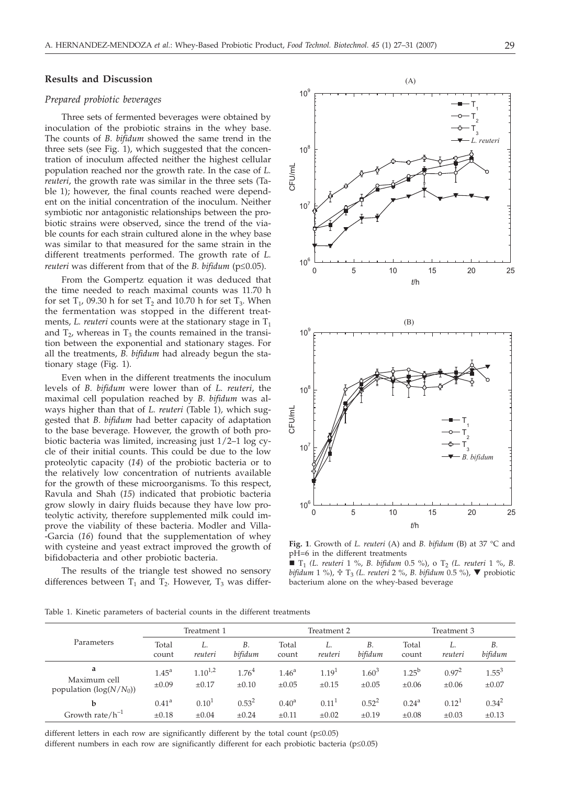### **Results and Discussion**

## *Prepared probiotic beverages*

Three sets of fermented beverages were obtained by inoculation of the probiotic strains in the whey base. The counts of *B. bifidum* showed the same trend in the three sets (see Fig. 1), which suggested that the concentration of inoculum affected neither the highest cellular population reached nor the growth rate. In the case of *L. reuteri*, the growth rate was similar in the three sets (Table 1); however, the final counts reached were dependent on the initial concentration of the inoculum. Neither symbiotic nor antagonistic relationships between the probiotic strains were observed, since the trend of the viable counts for each strain cultured alone in the whey base was similar to that measured for the same strain in the different treatments performed. The growth rate of *L. reuteri* was different from that of the *B. bifidum* ( $p \le 0.05$ ).

From the Gompertz equation it was deduced that the time needed to reach maximal counts was 11.70 h for set  $T_1$ , 09.30 h for set  $T_2$  and 10.70 h for set  $T_3$ . When the fermentation was stopped in the different treatments, *L. reuteri* counts were at the stationary stage in  $T_1$ and  $T_2$ , whereas in  $T_3$  the counts remained in the transition between the exponential and stationary stages. For all the treatments, *B. bifidum* had already begun the stationary stage (Fig. 1).

Even when in the different treatments the inoculum levels of *B. bifidum* were lower than of *L. reuteri*, the maximal cell population reached by *B. bifidum* was always higher than that of *L. reuteri* (Table 1)*,* which suggested that *B. bifidum* had better capacity of adaptation to the base beverage. However, the growth of both probiotic bacteria was limited, increasing just 1/2–1 log cycle of their initial counts. This could be due to the low proteolytic capacity (*14*) of the probiotic bacteria or to the relatively low concentration of nutrients available for the growth of these microorganisms. To this respect, Ravula and Shah (*15*) indicated that probiotic bacteria grow slowly in dairy fluids because they have low proteolytic activity, therefore supplemented milk could improve the viability of these bacteria. Modler and Villa- -Garcia (*16*) found that the supplementation of whey with cysteine and yeast extract improved the growth of bifidobacteria and other probiotic bacteria.

The results of the triangle test showed no sensory differences between  $T_1$  and  $T_2$ . However,  $T_3$  was differ-



**Fig. 1**. Growth of *L. reuteri* (A) and *B. bifidum* (B) at 37 °C and pH=6 in the different treatments

 $\blacksquare$  T<sub>1</sub> (L. reuteri 1 %, *B. bifidum* 0.5 %), o T<sub>2</sub> (L. reuteri 1 %, *B. bifidum* 1 %), - T3 *(L. reuteri* 2 %, *B. bifidum* 0.5 %), probiotic bacterium alone on the whey-based beverage

Table 1. Kinetic parameters of bacterial counts in the different treatments

|                                                | Treatment 1                     |                                 |                                 | Treatment 2                     |                                 |                          | Treatment 3                  |                          |                          |
|------------------------------------------------|---------------------------------|---------------------------------|---------------------------------|---------------------------------|---------------------------------|--------------------------|------------------------------|--------------------------|--------------------------|
| Parameters                                     | Total<br>count                  | reuteri                         | <b>B.</b><br>bifidum            | Total<br>count                  | L.<br>reuteri                   | <b>B.</b><br>bifidum     | Total<br>count               | L.<br>reuteri            | <b>B.</b><br>bifidum     |
| a<br>Maximum cell<br>population $(log(N/N_0))$ | 1.45 <sup>a</sup><br>$\pm 0.09$ | $1.10^{1,2}$<br>$\pm 0.17$      | 1.76 <sup>4</sup><br>$\pm 0.10$ | 1.46 <sup>a</sup><br>$\pm 0.05$ | 1.19 <sup>1</sup><br>$\pm 0.15$ | $1.60^{3}$<br>$\pm 0.05$ | $1.25^{b}$<br>$\pm 0.06$     | $0.97^2$<br>$\pm 0.06$   | $1.55^{3}$<br>$\pm 0.07$ |
| b<br>Growth rate/ $h^{-1}$                     | $0.41^{\rm a}$<br>$\pm 0.18$    | 0.10 <sup>1</sup><br>$\pm 0.04$ | $0.53^{2}$<br>$\pm 0.24$        | $0.40^{\rm a}$<br>$\pm 0.11$    | 0.11<br>$\pm 0.02$              | $0.52^2$<br>$\pm 0.19$   | $0.24^{\rm a}$<br>$\pm 0.08$ | $0.12^{1}$<br>$\pm 0.03$ | $0.34^{2}$<br>$\pm 0.13$ |

different letters in each row are significantly different by the total count ( $p \le 0.05$ )

different numbers in each row are significantly different for each probiotic bacteria ( $p \leq 0.05$ )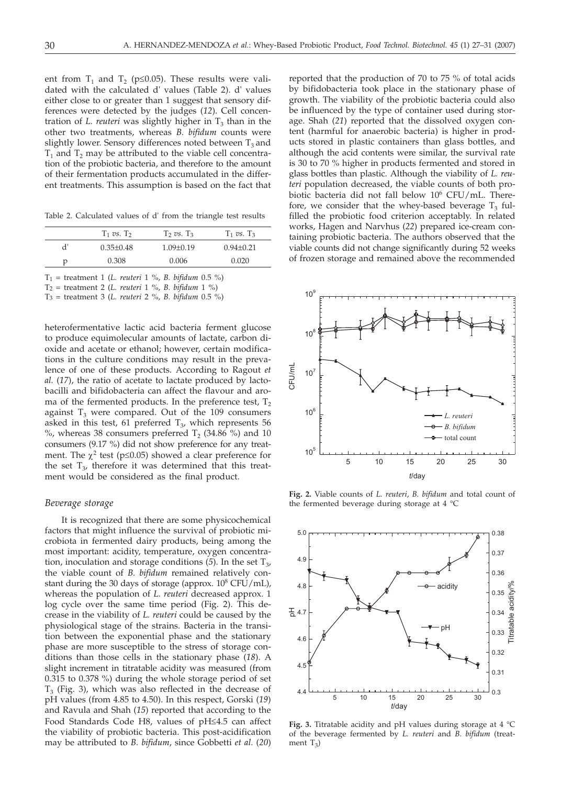ent from  $T_1$  and  $T_2$  (p $\leq$ 0.05). These results were validated with the calculated d' values (Table 2). d' values either close to or greater than 1 suggest that sensory differences were detected by the judges (*12*). Cell concentration of *L. reuteri* was slightly higher in  $T_3$  than in the other two treatments, whereas *B. bifidum* counts were slightly lower. Sensory differences noted between  $T_3$  and  $T_1$  and  $T_2$  may be attributed to the viable cell concentration of the probiotic bacteria, and therefore to the amount of their fermentation products accumulated in the different treatments. This assumption is based on the fact that

Table 2. Calculated values of d' from the triangle test results

|   | $T_1$ vs. $T_2$ | $T_2$ vs. $T_3$ | $T_1$ vs. $T_3$ |
|---|-----------------|-----------------|-----------------|
| ď | $0.35 + 0.48$   | $1.09 + 0.19$   | $0.94 + 0.21$   |
| D | 0.308           | 0.006           | 0.020           |

T1 = treatment 1 (*L. reuteri* 1 %, *B. bifidum* 0.5 %)

T2 = treatment 2 (*L. reuteri* 1 %, *B. bifidum* 1 %)

T3 = treatment 3 (*L. reuteri* 2 %, *B. bifidum* 0.5 %)

heterofermentative lactic acid bacteria ferment glucose to produce equimolecular amounts of lactate, carbon dioxide and acetate or ethanol; however, certain modifications in the culture conditions may result in the prevalence of one of these products. According to Ragout *et al.* (*17*), the ratio of acetate to lactate produced by lactobacilli and bifidobacteria can affect the flavour and aroma of the fermented products. In the preference test,  $T_2$ against  $T_3$  were compared. Out of the 109 consumers asked in this test, 61 preferred  $T_3$ , which represents 56  $\%$ , whereas 38 consumers preferred T<sub>2</sub> (34.86  $\%$ ) and 10 consumers (9.17 %) did not show preference for any treatment. The  $\chi^2$  test (p≤0.05) showed a clear preference for the set  $T_{3}$ , therefore it was determined that this treatment would be considered as the final product.

#### *Beverage storage*

It is recognized that there are some physicochemical factors that might influence the survival of probiotic microbiota in fermented dairy products, being among the most important: acidity, temperature, oxygen concentration, inoculation and storage conditions  $(5)$ . In the set  $T_3$ , the viable count of *B. bifidum* remained relatively constant during the 30 days of storage (approx.  $10^8$  CFU/mL), whereas the population of *L. reuteri* decreased approx. 1 log cycle over the same time period (Fig. 2). This decrease in the viability of *L. reuteri* could be caused by the physiological stage of the strains. Bacteria in the transition between the exponential phase and the stationary phase are more susceptible to the stress of storage conditions than those cells in the stationary phase (*18*). A slight increment in titratable acidity was measured (from 0.315 to 0.378 %) during the whole storage period of set  $T<sub>3</sub>$  (Fig. 3), which was also reflected in the decrease of pH values (from 4.85 to 4.50). In this respect, Gorski (*19*) and Ravula and Shah (*15*) reported that according to the Food Standards Code H8, values of pH≤4.5 can affect the viability of probiotic bacteria. This post-acidification may be attributed to *B. bifidum*, since Gobbetti *et al*. (*20*)

reported that the production of 70 to 75 % of total acids by bifidobacteria took place in the stationary phase of growth. The viability of the probiotic bacteria could also be influenced by the type of container used during storage. Shah (*21*) reported that the dissolved oxygen content (harmful for anaerobic bacteria) is higher in products stored in plastic containers than glass bottles, and although the acid contents were similar, the survival rate is 30 to 70 % higher in products fermented and stored in glass bottles than plastic. Although the viability of *L. reuteri* population decreased, the viable counts of both probiotic bacteria did not fall below 106 CFU/mL. Therefore, we consider that the whey-based beverage  $T_3$  fulfilled the probiotic food criterion acceptably. In related works, Hagen and Narvhus (*22*) prepared ice-cream containing probiotic bacteria. The authors observed that the viable counts did not change significantly during 52 weeks of frozen storage and remained above the recommended



**Fig. 2.** Viable counts of *L. reuteri*, *B. bifidum* and total count of the fermented beverage during storage at 4 °C



**Fig. 3.** Titratable acidity and pH values during storage at 4 °C of the beverage fermented by *L. reuteri* and *B. bifidum* (treatment  $T_3$ )